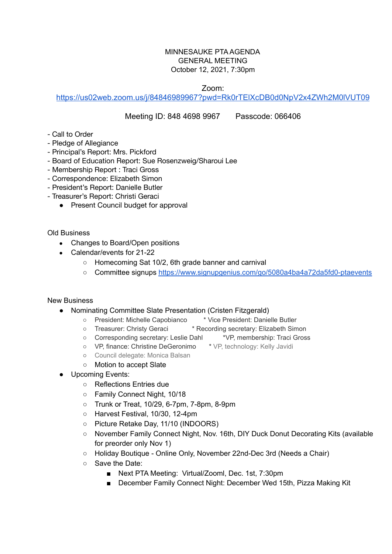## MINNESAUKE PTA AGENDA GENERAL MEETING October 12, 2021, 7:30pm

Zoom:

<https://us02web.zoom.us/j/84846989967?pwd=Rk0rTElXcDB0d0NpV2x4ZWh2M0lVUT09>

## Meeting ID: 848 4698 9967 Passcode: 066406

- Call to Order
- Pledge of Allegiance
- Principal's Report: Mrs. Pickford
- Board of Education Report: Sue Rosenzweig/Sharoui Lee
- Membership Report : Traci Gross
- Correspondence: Elizabeth Simon
- President's Report: Danielle Butler
- Treasurer's Report: Christi Geraci
	- Present Council budget for approval

Old Business

- Changes to Board/Open positions
- Calendar/events for 21-22
	- Homecoming Sat 10/2, 6th grade banner and carnival
	- Committee signups <https://www.signupgenius.com/go/5080a4ba4a72da5fd0-ptaevents>

## New Business

- Nominating Committee Slate Presentation (Cristen Fitzgerald)
	- President: Michelle Capobianco \* Vice President: Danielle Butler
	- Treasurer: Christy Geraci \* Recording secretary: Elizabeth Simon
	- Corresponding secretary: Leslie Dahl \*VP, membership: Traci Gross
	- VP, finance: Christine DeGeronimo \* VP, technology: Kelly Javidi
	- Council delegate: Monica Balsan
	- Motion to accept Slate
- Upcoming Events:
	- Reflections Entries due
	- Family Connect Night, 10/18
	- Trunk or Treat, 10/29, 6-7pm, 7-8pm, 8-9pm
	- Harvest Festival, 10/30, 12-4pm
	- Picture Retake Day, 11/10 (INDOORS)
	- November Family Connect Night, Nov. 16th, DIY Duck Donut Decorating Kits (available for preorder only Nov 1)
	- Holiday Boutique Online Only, November 22nd-Dec 3rd (Needs a Chair)
	- Save the Date:
		- Next PTA Meeting: Virtual/Zooml, Dec. 1st, 7:30pm
		- December Family Connect Night: December Wed 15th, Pizza Making Kit